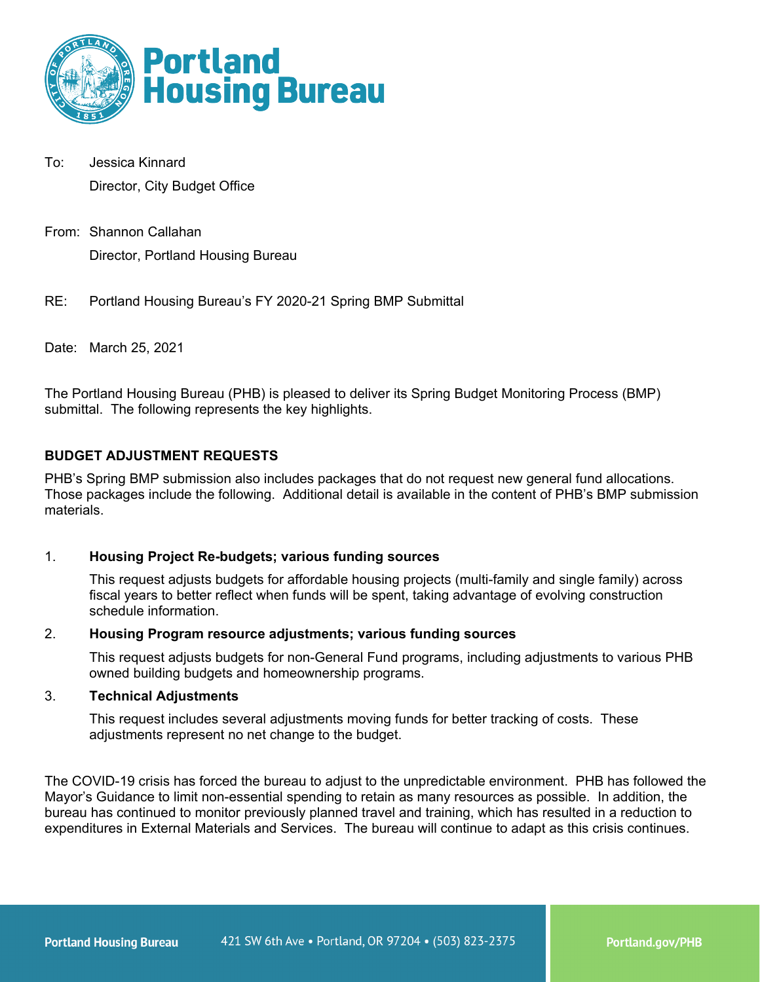

- To: Jessica Kinnard Director, City Budget Office
- From: Shannon Callahan Director, Portland Housing Bureau
- RE: Portland Housing Bureau's FY 2020-21 Spring BMP Submittal

Date: March 25, 2021

The Portland Housing Bureau (PHB) is pleased to deliver its Spring Budget Monitoring Process (BMP) submittal. The following represents the key highlights.

# **BUDGET ADJUSTMENT REQUESTS**

PHB's Spring BMP submission also includes packages that do not request new general fund allocations. Those packages include the following. Additional detail is available in the content of PHB's BMP submission materials.

# 1. **Housing Project Re-budgets; various funding sources**

This request adjusts budgets for affordable housing projects (multi-family and single family) across fiscal years to better reflect when funds will be spent, taking advantage of evolving construction schedule information.

# 2. **Housing Program resource adjustments; various funding sources**

This request adjusts budgets for non-General Fund programs, including adjustments to various PHB owned building budgets and homeownership programs.

### 3. **Technical Adjustments**

This request includes several adjustments moving funds for better tracking of costs. These adjustments represent no net change to the budget.

The COVID-19 crisis has forced the bureau to adjust to the unpredictable environment. PHB has followed the Mayor's Guidance to limit non-essential spending to retain as many resources as possible. In addition, the bureau has continued to monitor previously planned travel and training, which has resulted in a reduction to expenditures in External Materials and Services. The bureau will continue to adapt as this crisis continues.

Portland.gov/PHB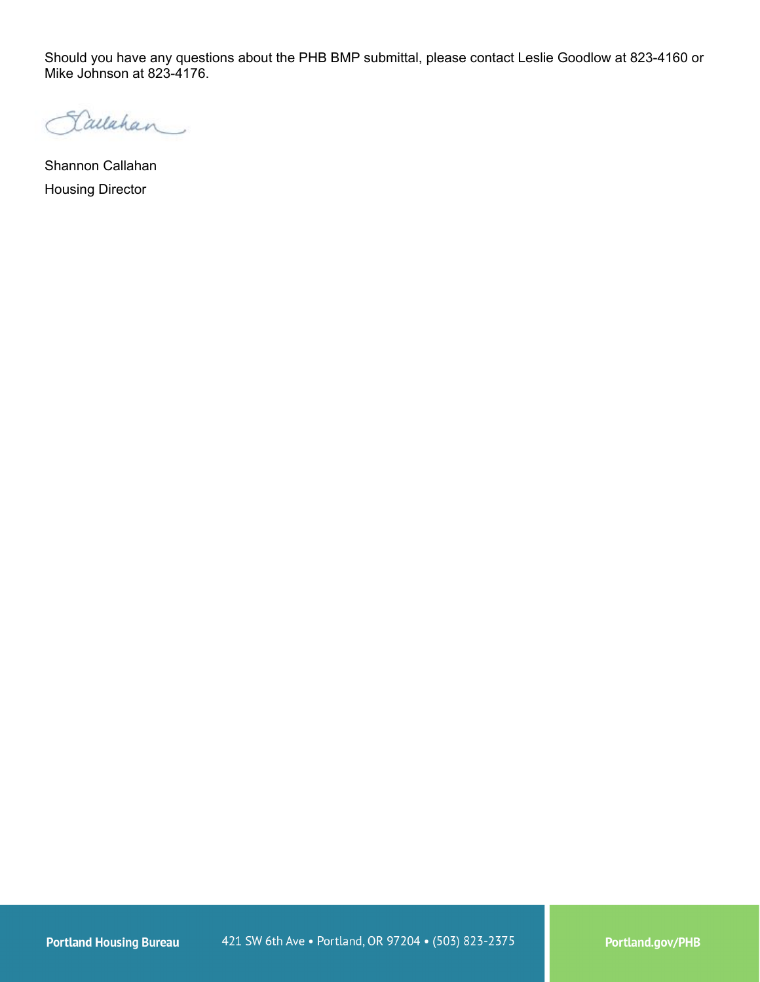Should you have any questions about the PHB BMP submittal, please contact Leslie Goodlow at 823-4160 or Mike Johnson at 823-4176.

Lallahan

Shannon Callahan Housing Director

Portland.gov/PHB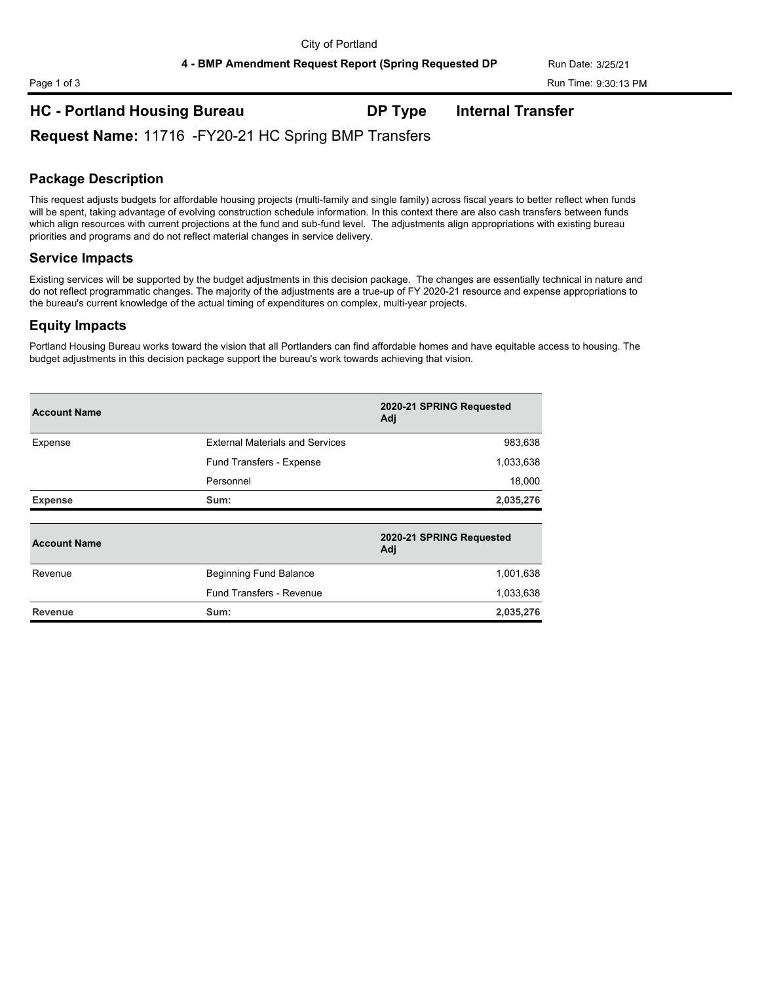# **HC - Portland Housing Bureau DP Type Internal Transfer**

**Request Name:** 11716 -FY20-21 HC Spring BMP Transfers

# **Package Description**

This request adjusts budgets for affordable housing projects (multi-family and single family) across fiscal years to better reflect when funds will be spent, taking advantage of evolving construction schedule information. In this context there are also cash transfers between funds which align resources with current projections at the fund and sub-fund level. The adjustments align appropriations with existing bureau priorities and programs and do not reflect material changes in service delivery.

### **Service Impacts**

Existing services will be supported by the budget adjustments in this decision package. The changes are essentially technical in nature and do not reflect programmatic changes. The majority of the adjustments are a true-up of FY 2020-21 resource and expense appropriations to the bureau's current knowledge of the actual timing of expenditures on complex, multi-year projects.

### **Equity Impacts**

Portland Housing Bureau works toward the vision that all Portlanders can find affordable homes and have equitable access to housing. The budget adjustments in this decision package support the bureau's work towards achieving that vision.

| <b>Account Name</b> |                                        | 2020-21 SPRING Requested<br>Adj |
|---------------------|----------------------------------------|---------------------------------|
| Expense             | <b>External Materials and Services</b> | 983,638                         |
|                     | Fund Transfers - Expense               | 1,033,638                       |
|                     | Personnel                              | 18,000                          |
| <b>Expense</b>      | Sum:                                   | 2,035,276                       |
|                     |                                        |                                 |
| <b>Account Name</b> |                                        | 2020-21 SPRING Requested<br>Adj |
| Revenue             | <b>Beginning Fund Balance</b>          | 1,001,638                       |
|                     |                                        |                                 |
|                     | Fund Transfers - Revenue               | 1,033,638                       |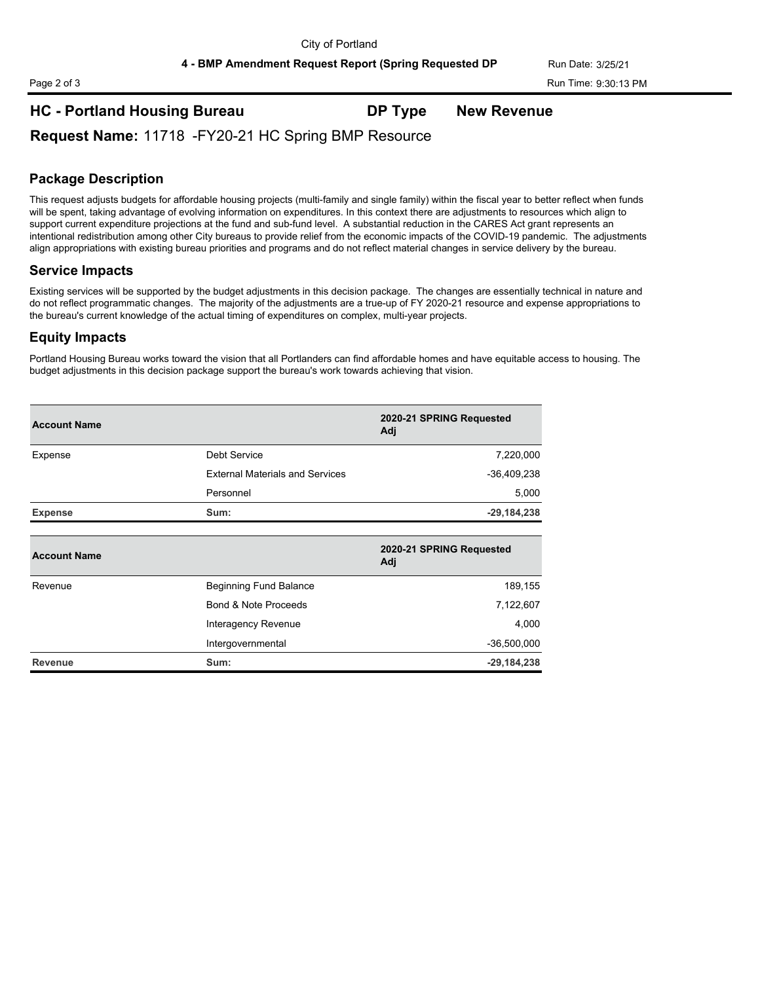# **HC - Portland Housing Bureau DP Type New Revenue**

**Request Name:** 11718 -FY20-21 HC Spring BMP Resource

# **Package Description**

This request adjusts budgets for affordable housing projects (multi-family and single family) within the fiscal year to better reflect when funds will be spent, taking advantage of evolving information on expenditures. In this context there are adjustments to resources which align to support current expenditure projections at the fund and sub-fund level. A substantial reduction in the CARES Act grant represents an intentional redistribution among other City bureaus to provide relief from the economic impacts of the COVID-19 pandemic. The adjustments align appropriations with existing bureau priorities and programs and do not reflect material changes in service delivery by the bureau.

### **Service Impacts**

Existing services will be supported by the budget adjustments in this decision package. The changes are essentially technical in nature and do not reflect programmatic changes. The majority of the adjustments are a true-up of FY 2020-21 resource and expense appropriations to the bureau's current knowledge of the actual timing of expenditures on complex, multi-year projects.

### **Equity Impacts**

Portland Housing Bureau works toward the vision that all Portlanders can find affordable homes and have equitable access to housing. The budget adjustments in this decision package support the bureau's work towards achieving that vision.

| <b>Account Name</b> |                                        | 2020-21 SPRING Requested<br>Adj |
|---------------------|----------------------------------------|---------------------------------|
| Expense             | Debt Service                           | 7,220,000                       |
|                     | <b>External Materials and Services</b> | $-36,409,238$                   |
|                     | Personnel                              | 5,000                           |
| <b>Expense</b>      | Sum:                                   | $-29,184,238$                   |
| <b>Account Name</b> |                                        | 2020-21 SPRING Requested<br>Adj |
| Revenue             | Beginning Fund Balance                 | 189,155                         |
|                     | Bond & Note Proceeds                   | 7,122,607                       |
|                     | Interagency Revenue                    | 4,000                           |
|                     | Intergovernmental                      | $-36,500,000$                   |
| <b>Revenue</b>      |                                        | $-29,184,238$                   |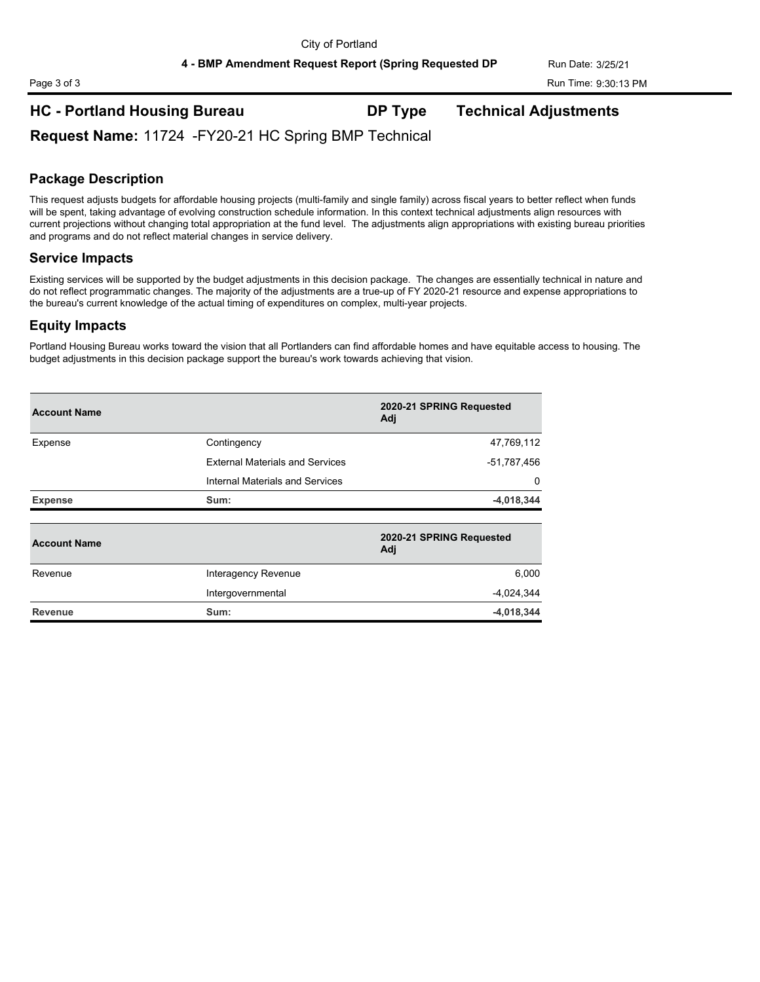# **HC - Portland Housing Bureau DP Type Technical Adjustments**

**Request Name:** 11724 -FY20-21 HC Spring BMP Technical

### **Package Description**

This request adjusts budgets for affordable housing projects (multi-family and single family) across fiscal years to better reflect when funds will be spent, taking advantage of evolving construction schedule information. In this context technical adjustments align resources with current projections without changing total appropriation at the fund level. The adjustments align appropriations with existing bureau priorities and programs and do not reflect material changes in service delivery.

### **Service Impacts**

Existing services will be supported by the budget adjustments in this decision package. The changes are essentially technical in nature and do not reflect programmatic changes. The majority of the adjustments are a true-up of FY 2020-21 resource and expense appropriations to the bureau's current knowledge of the actual timing of expenditures on complex, multi-year projects.

### **Equity Impacts**

Portland Housing Bureau works toward the vision that all Portlanders can find affordable homes and have equitable access to housing. The budget adjustments in this decision package support the bureau's work towards achieving that vision.

| <b>Account Name</b> |                                        | 2020-21 SPRING Requested<br>Adj |
|---------------------|----------------------------------------|---------------------------------|
| Expense             | Contingency                            | 47,769,112                      |
|                     | <b>External Materials and Services</b> | -51,787,456                     |
|                     | Internal Materials and Services        | 0                               |
| <b>Expense</b>      | Sum:                                   | $-4,018,344$                    |
|                     |                                        |                                 |
| <b>Account Name</b> |                                        | 2020-21 SPRING Requested<br>Adj |
| Revenue             | Interagency Revenue                    | 6,000                           |
|                     | Intergovernmental                      | $-4,024,344$                    |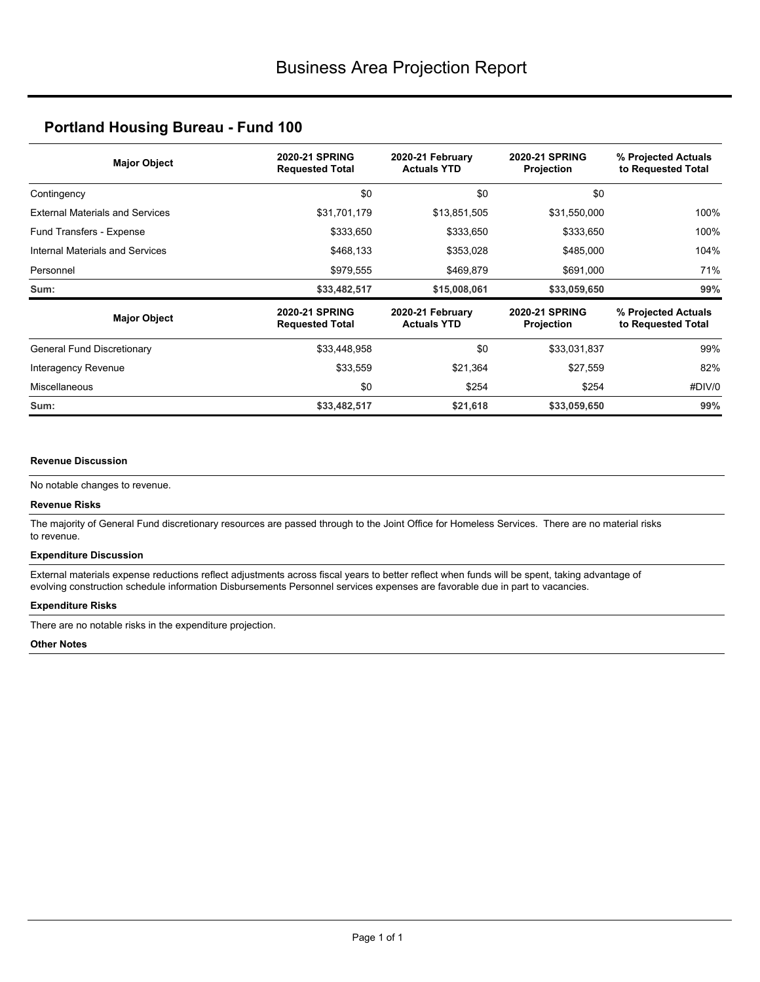| <b>Major Object</b>                    | <b>2020-21 SPRING</b><br><b>Requested Total</b> | 2020-21 February<br><b>Actuals YTD</b> | <b>2020-21 SPRING</b><br>Projection        | % Projected Actuals<br>to Requested Total |
|----------------------------------------|-------------------------------------------------|----------------------------------------|--------------------------------------------|-------------------------------------------|
| Contingency                            | \$0                                             | \$0                                    | \$0                                        |                                           |
| <b>External Materials and Services</b> | \$31,701,179                                    | \$13,851,505                           | \$31,550,000                               | 100%                                      |
| Fund Transfers - Expense               | \$333,650<br>\$333,650                          |                                        | \$333,650                                  | 100%                                      |
| Internal Materials and Services        | \$468,133                                       | \$353,028                              | \$485,000                                  | 104%                                      |
| Personnel                              | \$979,555                                       | \$469,879                              | \$691,000                                  | 71%                                       |
| Sum:                                   | \$33,482,517                                    | \$15,008,061                           | \$33,059,650                               | 99%                                       |
| <b>Major Object</b>                    | <b>2020-21 SPRING</b><br><b>Requested Total</b> | 2020-21 February<br><b>Actuals YTD</b> | <b>2020-21 SPRING</b><br><b>Projection</b> | % Projected Actuals<br>to Requested Total |
| General Fund Discretionary             | \$33,448,958                                    | \$0                                    | \$33,031,837                               | 99%                                       |
| Interagency Revenue                    | \$33,559                                        | \$21,364                               | \$27,559                                   | 82%                                       |
| <b>Miscellaneous</b>                   | \$0                                             | \$254                                  | \$254                                      | #DIV/0                                    |
| Sum:                                   | \$33,482,517                                    | \$21,618                               | \$33,059,650                               | 99%                                       |

#### **Revenue Discussion**

No notable changes to revenue.

#### **Revenue Risks**

The majority of General Fund discretionary resources are passed through to the Joint Office for Homeless Services. There are no material risks to revenue.

#### **Expenditure Discussion**

External materials expense reductions reflect adjustments across fiscal years to better reflect when funds will be spent, taking advantage of evolving construction schedule information Disbursements Personnel services expenses are favorable due in part to vacancies.

#### **Expenditure Risks**

There are no notable risks in the expenditure projection.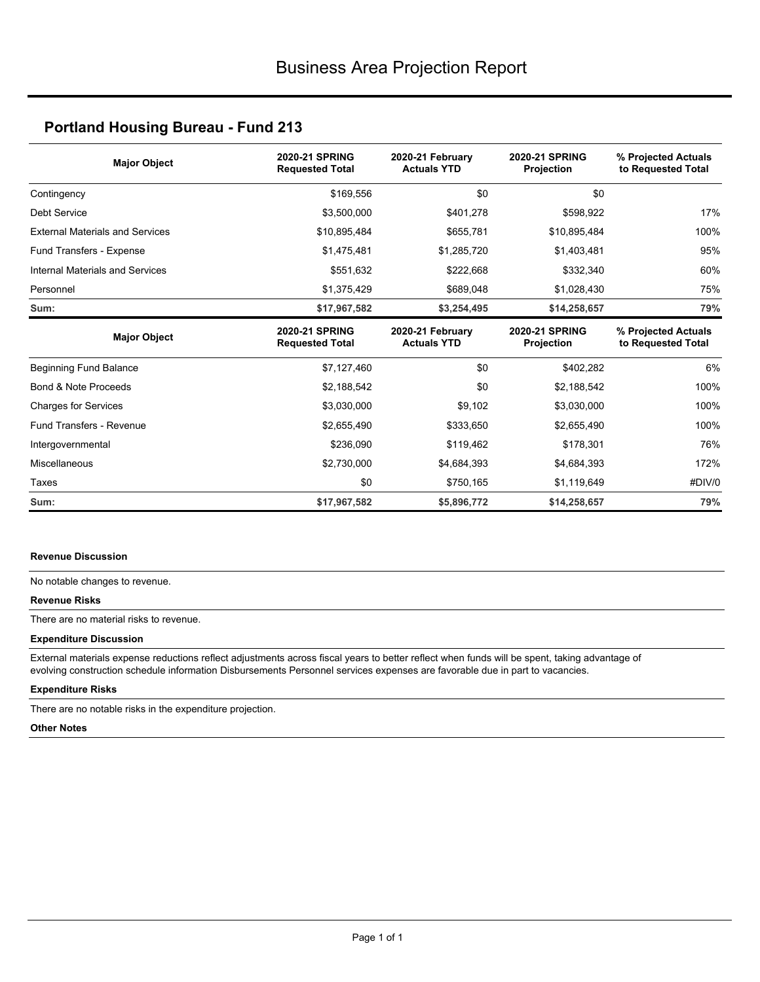| <b>Major Object</b>                    | 2020-21 SPRING<br><b>Requested Total</b>        | 2020-21 February<br><b>Actuals YTD</b> | <b>2020-21 SPRING</b><br>Projection        | % Projected Actuals<br>to Requested Total |
|----------------------------------------|-------------------------------------------------|----------------------------------------|--------------------------------------------|-------------------------------------------|
| Contingency                            | \$169,556                                       | \$0                                    | \$0                                        |                                           |
| <b>Debt Service</b>                    | \$3,500,000                                     | \$401,278                              | \$598,922                                  | 17%                                       |
| <b>External Materials and Services</b> | \$10,895,484                                    | \$655,781                              | \$10,895,484                               | 100%                                      |
| Fund Transfers - Expense               | \$1,475,481                                     | \$1,285,720                            | \$1,403,481                                | 95%                                       |
| Internal Materials and Services        | \$551,632                                       | \$222,668                              | \$332,340                                  | 60%                                       |
| Personnel                              | \$1,375,429                                     | \$689,048                              | \$1,028,430                                | 75%                                       |
| Sum:                                   | \$17,967,582                                    | \$3,254,495                            | \$14,258,657                               | 79%                                       |
| <b>Major Object</b>                    | <b>2020-21 SPRING</b><br><b>Requested Total</b> | 2020-21 February<br><b>Actuals YTD</b> | <b>2020-21 SPRING</b><br><b>Projection</b> | % Projected Actuals<br>to Requested Total |
| <b>Beginning Fund Balance</b>          | \$7,127,460                                     | \$0                                    | \$402,282                                  | 6%                                        |
| Bond & Note Proceeds                   | \$2,188,542                                     | \$0                                    | \$2,188,542                                | 100%                                      |
| <b>Charges for Services</b>            | \$3,030,000                                     | \$9,102                                | \$3,030,000                                | 100%                                      |
| Fund Transfers - Revenue               | \$2,655,490                                     | \$333,650                              | \$2,655,490                                | 100%                                      |
| Intergovernmental                      | \$236,090                                       | \$119,462                              | \$178,301                                  | 76%                                       |
| Miscellaneous                          | \$2,730,000                                     | \$4,684,393                            | \$4,684,393                                | 172%                                      |
| Taxes                                  | \$0                                             | \$750,165                              | \$1,119,649                                | #DIV/0                                    |
| Sum:                                   | \$17,967,582                                    | \$5,896,772                            | \$14,258,657                               | 79%                                       |

#### **Revenue Discussion**

No notable changes to revenue.

### **Revenue Risks**

There are no material risks to revenue.

#### **Expenditure Discussion**

External materials expense reductions reflect adjustments across fiscal years to better reflect when funds will be spent, taking advantage of evolving construction schedule information Disbursements Personnel services expenses are favorable due in part to vacancies.

### **Expenditure Risks**

There are no notable risks in the expenditure projection.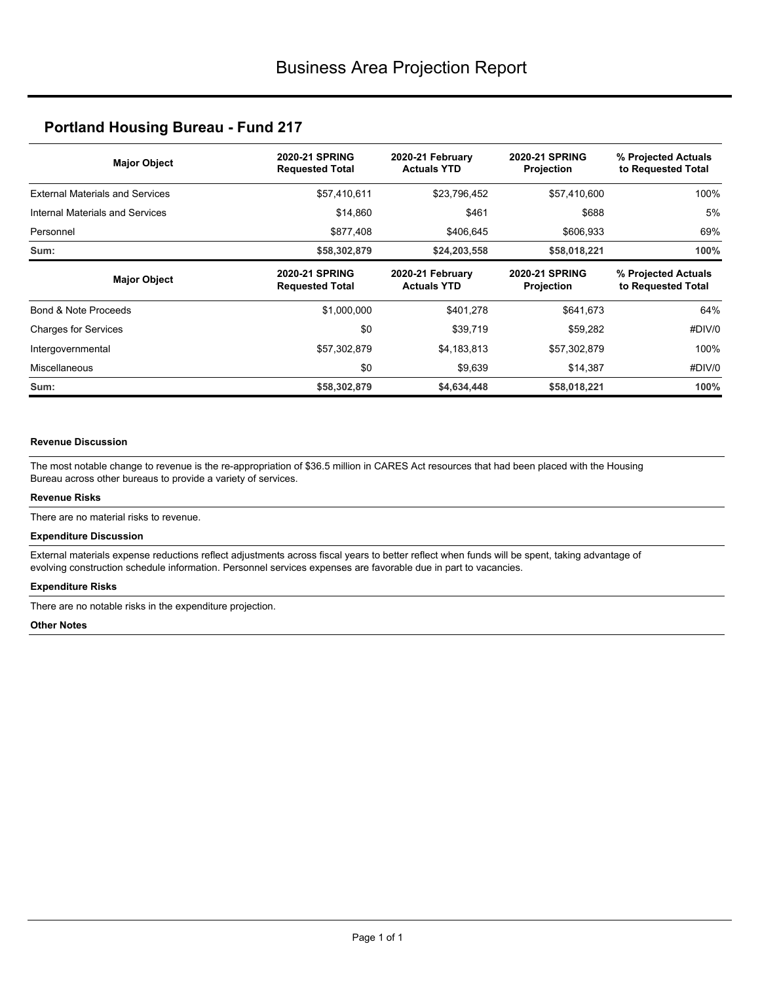| <b>Major Object</b>                    | <b>2020-21 SPRING</b><br><b>Requested Total</b> | 2020-21 February<br><b>Actuals YTD</b> | <b>2020-21 SPRING</b><br>Projection        | % Projected Actuals<br>to Requested Total |
|----------------------------------------|-------------------------------------------------|----------------------------------------|--------------------------------------------|-------------------------------------------|
| <b>External Materials and Services</b> | \$57,410,611                                    | \$23,796,452                           | \$57,410,600                               | 100%                                      |
| Internal Materials and Services        | \$14,860                                        | \$461                                  | \$688                                      | 5%                                        |
| Personnel                              | \$877,408                                       | \$406,645                              | \$606,933                                  | 69%                                       |
| Sum:                                   | \$58,302,879                                    | \$24,203,558                           | \$58,018,221                               | 100%                                      |
| <b>Major Object</b>                    | <b>2020-21 SPRING</b><br><b>Requested Total</b> | 2020-21 February<br><b>Actuals YTD</b> | <b>2020-21 SPRING</b><br><b>Projection</b> | % Projected Actuals<br>to Requested Total |
| Bond & Note Proceeds                   | \$1,000,000                                     | \$401,278                              | \$641,673                                  | 64%                                       |
|                                        |                                                 |                                        |                                            |                                           |
| <b>Charges for Services</b>            | \$0                                             | \$39,719                               | \$59,282                                   | #DIV/0                                    |
| Intergovernmental                      | \$57,302,879                                    | \$4,183,813                            | \$57,302,879                               | 100%                                      |
| Miscellaneous                          | \$0                                             | \$9,639                                | \$14,387                                   | #DIV/0                                    |

#### **Revenue Discussion**

The most notable change to revenue is the re-appropriation of \$36.5 million in CARES Act resources that had been placed with the Housing Bureau across other bureaus to provide a variety of services.

#### **Revenue Risks**

There are no material risks to revenue.

#### **Expenditure Discussion**

External materials expense reductions reflect adjustments across fiscal years to better reflect when funds will be spent, taking advantage of evolving construction schedule information. Personnel services expenses are favorable due in part to vacancies.

#### **Expenditure Risks**

There are no notable risks in the expenditure projection.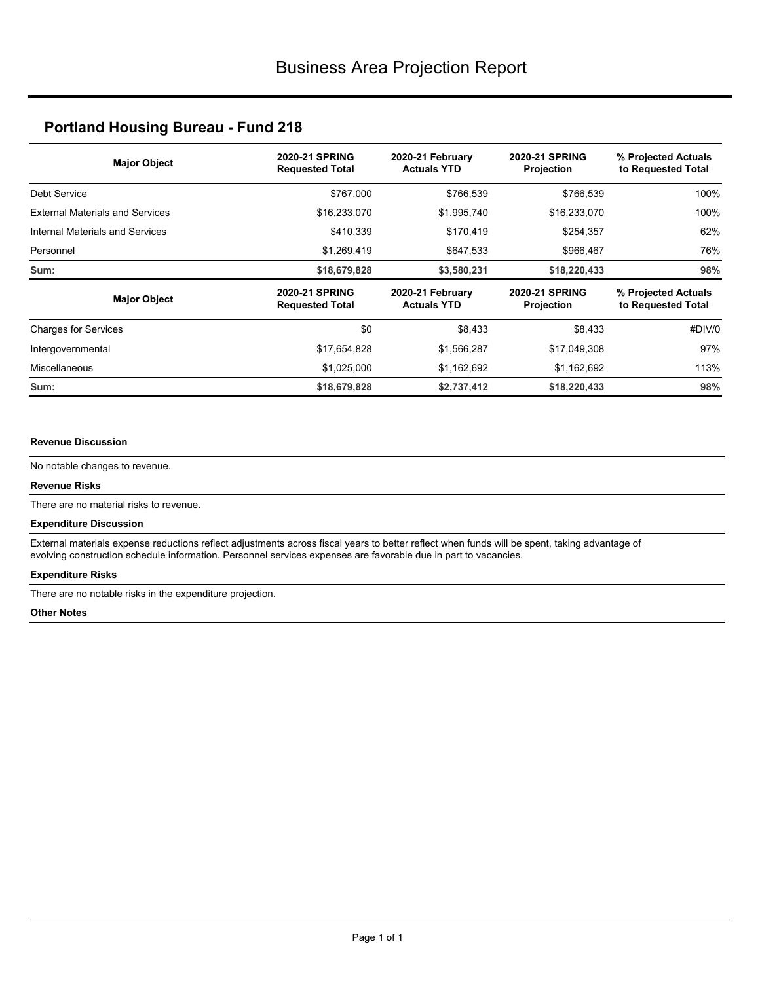| <b>Major Object</b>                    | <b>2020-21 SPRING</b><br><b>Requested Total</b> | 2020-21 February<br><b>Actuals YTD</b> | <b>2020-21 SPRING</b><br><b>Projection</b> | % Projected Actuals<br>to Requested Total |
|----------------------------------------|-------------------------------------------------|----------------------------------------|--------------------------------------------|-------------------------------------------|
| Debt Service                           | \$767,000                                       | \$766.539                              | \$766,539                                  | 100%                                      |
| <b>External Materials and Services</b> | \$16,233,070                                    | \$1,995,740                            | \$16,233,070                               | 100%                                      |
| Internal Materials and Services        | \$410,339                                       | \$170,419                              | \$254,357                                  | 62%                                       |
| Personnel                              | \$1,269,419                                     | \$647,533                              | \$966,467                                  | 76%                                       |
| Sum:                                   | \$18,679,828                                    | \$3,580,231                            | \$18,220,433                               | 98%                                       |
| <b>Major Object</b>                    | <b>2020-21 SPRING</b><br><b>Requested Total</b> | 2020-21 February<br><b>Actuals YTD</b> | <b>2020-21 SPRING</b><br>Projection        | % Projected Actuals<br>to Requested Total |
| <b>Charges for Services</b>            | \$0                                             | \$8,433                                | \$8,433                                    | #DIV/0                                    |
| Intergovernmental                      | \$17,654,828                                    | \$1,566,287                            | \$17,049,308                               | 97%                                       |
| <b>Miscellaneous</b>                   | \$1,025,000                                     | \$1,162,692                            | \$1,162,692                                | 113%                                      |
| Sum:                                   | \$18,679,828                                    | \$2,737,412                            | \$18,220,433                               | 98%                                       |

#### **Revenue Discussion**

No notable changes to revenue.

#### **Revenue Risks**

There are no material risks to revenue.

#### **Expenditure Discussion**

External materials expense reductions reflect adjustments across fiscal years to better reflect when funds will be spent, taking advantage of evolving construction schedule information. Personnel services expenses are favorable due in part to vacancies.

#### **Expenditure Risks**

There are no notable risks in the expenditure projection.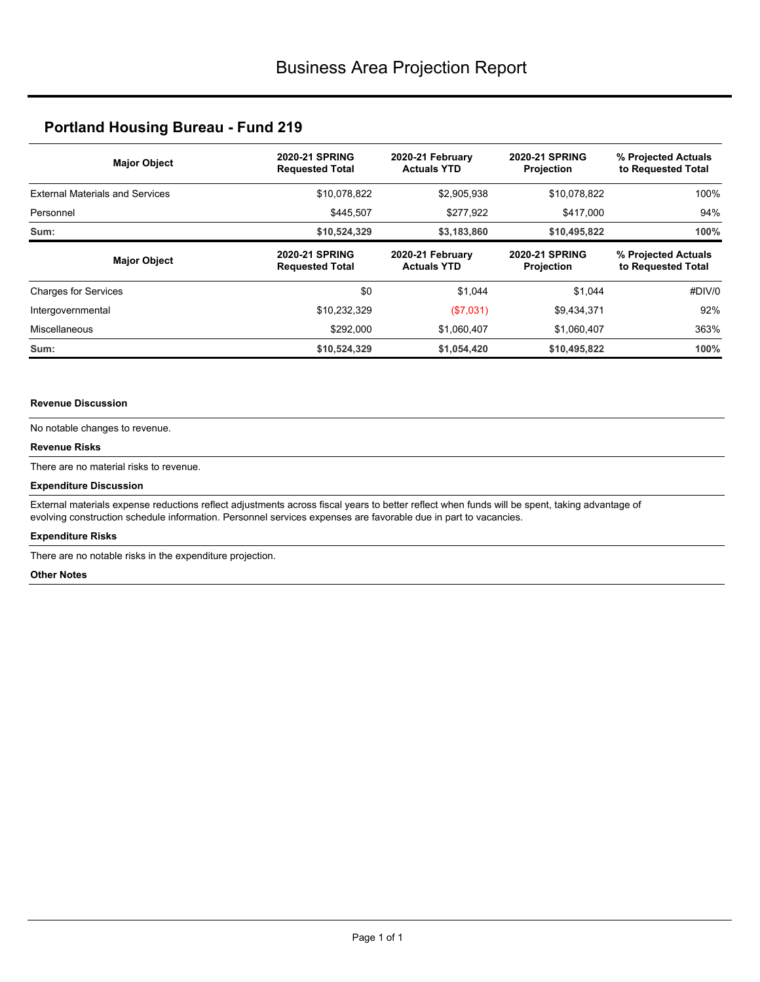| <b>Major Object</b>                    | <b>2020-21 SPRING</b><br><b>Requested Total</b> | 2020-21 February<br><b>Actuals YTD</b> | <b>2020-21 SPRING</b><br><b>Projection</b> | % Projected Actuals<br>to Requested Total |
|----------------------------------------|-------------------------------------------------|----------------------------------------|--------------------------------------------|-------------------------------------------|
| <b>External Materials and Services</b> | \$10,078,822                                    | \$2,905,938                            | \$10,078,822                               | 100%                                      |
| Personnel                              | \$445,507                                       | \$277,922                              | \$417,000                                  | 94%                                       |
| Sum:                                   | \$10,524,329                                    | \$3,183,860                            | \$10,495,822                               | 100%                                      |
| <b>Major Object</b>                    | <b>2020-21 SPRING</b><br><b>Requested Total</b> | 2020-21 February<br><b>Actuals YTD</b> | <b>2020-21 SPRING</b><br><b>Projection</b> | % Projected Actuals<br>to Requested Total |
| <b>Charges for Services</b>            | \$0                                             | \$1,044                                | \$1.044                                    | #DIV/0                                    |
| Intergovernmental                      | \$10,232,329                                    | (\$7,031)                              | \$9,434,371                                | 92%                                       |
| Miscellaneous                          | \$292,000                                       | \$1,060,407                            | \$1,060,407                                | 363%                                      |
| Sum:                                   | \$10,524,329                                    | \$1,054,420                            | \$10,495,822                               | 100%                                      |

#### **Revenue Discussion**

No notable changes to revenue.

#### **Revenue Risks**

There are no material risks to revenue.

#### **Expenditure Discussion**

External materials expense reductions reflect adjustments across fiscal years to better reflect when funds will be spent, taking advantage of evolving construction schedule information. Personnel services expenses are favorable due in part to vacancies.

#### **Expenditure Risks**

There are no notable risks in the expenditure projection.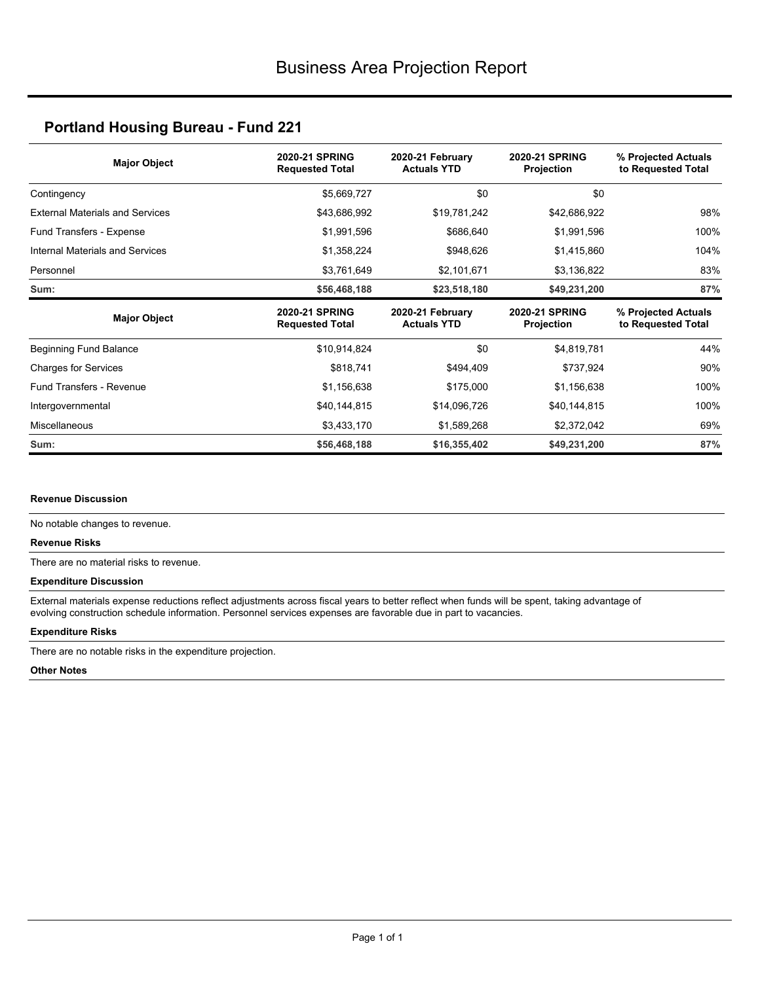| <b>Major Object</b>                    | <b>2020-21 SPRING</b><br><b>Requested Total</b> | 2020-21 February<br><b>Actuals YTD</b> | <b>2020-21 SPRING</b><br>Projection | % Projected Actuals<br>to Requested Total |
|----------------------------------------|-------------------------------------------------|----------------------------------------|-------------------------------------|-------------------------------------------|
| Contingency                            | \$5,669,727                                     | \$0                                    | \$0                                 |                                           |
| <b>External Materials and Services</b> | \$43,686,992                                    | \$19,781,242                           | \$42,686,922                        | 98%                                       |
| Fund Transfers - Expense               | \$686,640<br>\$1,991,596                        |                                        | \$1,991,596                         | 100%                                      |
| Internal Materials and Services        | \$1,358,224                                     | \$948,626                              | \$1,415,860                         | 104%                                      |
| Personnel                              | \$3,761,649                                     | \$2,101,671                            | \$3,136,822                         | 83%                                       |
| Sum:                                   | \$56,468,188                                    | \$23,518,180                           | \$49,231,200                        | 87%                                       |
|                                        |                                                 |                                        |                                     |                                           |
| <b>Major Object</b>                    | <b>2020-21 SPRING</b><br><b>Requested Total</b> | 2020-21 February<br><b>Actuals YTD</b> | <b>2020-21 SPRING</b><br>Projection | % Projected Actuals<br>to Requested Total |
| Beginning Fund Balance                 | \$10,914,824                                    | \$0                                    | \$4,819,781                         | 44%                                       |
| <b>Charges for Services</b>            | \$818,741                                       | \$494,409                              | \$737,924                           | 90%                                       |
| Fund Transfers - Revenue               | \$1,156,638                                     | \$175,000                              | \$1,156,638                         | 100%                                      |
| Intergovernmental                      | \$40,144,815                                    | \$14,096,726                           | \$40,144,815                        | 100%                                      |
| <b>Miscellaneous</b>                   | \$3,433,170                                     | \$1,589,268                            | \$2,372,042                         | 69%                                       |

#### **Revenue Discussion**

No notable changes to revenue.

#### **Revenue Risks**

There are no material risks to revenue.

#### **Expenditure Discussion**

External materials expense reductions reflect adjustments across fiscal years to better reflect when funds will be spent, taking advantage of evolving construction schedule information. Personnel services expenses are favorable due in part to vacancies.

#### **Expenditure Risks**

There are no notable risks in the expenditure projection.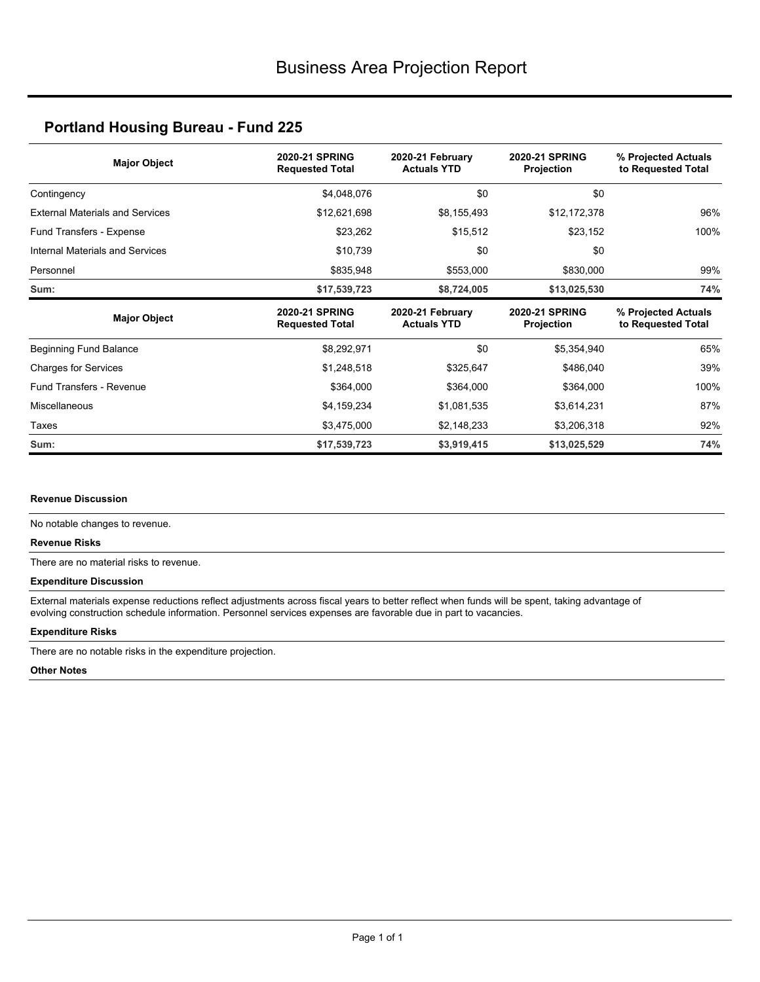| <b>Major Object</b>                    | <b>2020-21 SPRING</b><br><b>Requested Total</b> | 2020-21 February<br><b>Actuals YTD</b> | <b>2020-21 SPRING</b><br>Projection | % Projected Actuals<br>to Requested Total |
|----------------------------------------|-------------------------------------------------|----------------------------------------|-------------------------------------|-------------------------------------------|
| Contingency                            | \$4,048,076                                     | \$0                                    | \$0                                 |                                           |
| <b>External Materials and Services</b> | \$12,621,698                                    | \$8,155,493                            | \$12,172,378                        | 96%                                       |
| Fund Transfers - Expense               | \$23,262                                        | \$15,512                               | \$23,152                            | 100%                                      |
| Internal Materials and Services        | \$10,739                                        | \$0                                    | \$0                                 |                                           |
| Personnel                              | \$835,948                                       | \$553,000                              | \$830,000                           | 99%                                       |
| Sum:                                   | \$17,539,723                                    | \$8,724,005                            | \$13,025,530                        | 74%                                       |
|                                        |                                                 |                                        |                                     |                                           |
| <b>Major Object</b>                    | <b>2020-21 SPRING</b><br><b>Requested Total</b> | 2020-21 February<br><b>Actuals YTD</b> | <b>2020-21 SPRING</b><br>Projection | % Projected Actuals<br>to Requested Total |
| Beginning Fund Balance                 | \$8,292,971                                     | \$0                                    | \$5,354,940                         | 65%                                       |
| <b>Charges for Services</b>            | \$1,248,518                                     | \$325,647                              | \$486,040                           | 39%                                       |
| <b>Fund Transfers - Revenue</b>        | \$364,000                                       | \$364,000                              | \$364,000                           | 100%                                      |
| Miscellaneous                          | \$4,159,234                                     | \$1,081,535                            | \$3,614,231                         | 87%                                       |
| Taxes                                  | \$3,475,000                                     | \$2,148,233                            | \$3,206,318                         | 92%                                       |

#### **Revenue Discussion**

No notable changes to revenue.

#### **Revenue Risks**

There are no material risks to revenue.

#### **Expenditure Discussion**

External materials expense reductions reflect adjustments across fiscal years to better reflect when funds will be spent, taking advantage of evolving construction schedule information. Personnel services expenses are favorable due in part to vacancies.

#### **Expenditure Risks**

There are no notable risks in the expenditure projection.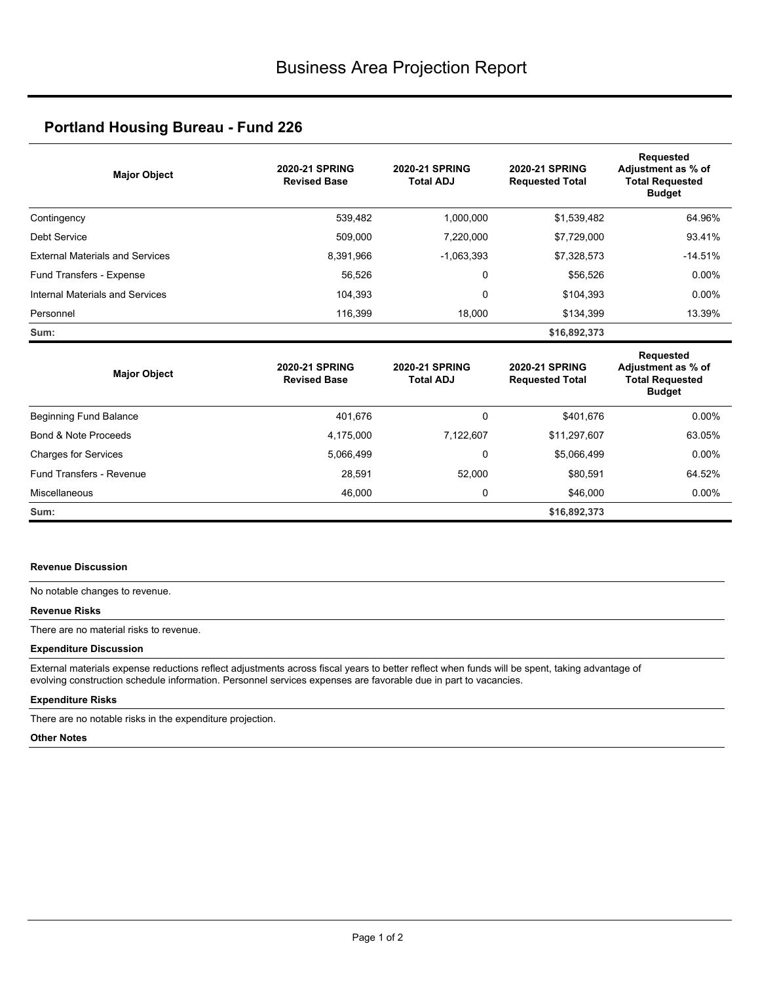| <b>Major Object</b>                    | <b>2020-21 SPRING</b><br><b>Revised Base</b> | <b>2020-21 SPRING</b><br><b>Total ADJ</b> | <b>2020-21 SPRING</b><br><b>Requested Total</b> | <b>Requested</b><br>Adjustment as % of<br><b>Total Requested</b><br><b>Budget</b> |
|----------------------------------------|----------------------------------------------|-------------------------------------------|-------------------------------------------------|-----------------------------------------------------------------------------------|
| Contingency                            | 539,482                                      | 1,000,000                                 | \$1,539,482                                     | 64.96%                                                                            |
| <b>Debt Service</b>                    | 509,000                                      | 7,220,000                                 | \$7,729,000                                     | 93.41%                                                                            |
| <b>External Materials and Services</b> | 8,391,966                                    | $-1,063,393$                              | \$7,328,573                                     | $-14.51%$                                                                         |
| Fund Transfers - Expense               | 56,526                                       | 0                                         | \$56,526                                        | $0.00\%$                                                                          |
| Internal Materials and Services        | 104,393                                      | 0                                         | \$104,393                                       | $0.00\%$                                                                          |
| Personnel                              | 116,399                                      | 18,000                                    | \$134,399                                       | 13.39%                                                                            |
| Sum:                                   |                                              |                                           | \$16,892,373                                    |                                                                                   |
| <b>Major Object</b>                    | <b>2020-21 SPRING</b><br><b>Revised Base</b> | <b>2020-21 SPRING</b><br><b>Total ADJ</b> | 2020-21 SPRING<br><b>Requested Total</b>        | Requested<br>Adjustment as % of<br><b>Total Requested</b><br><b>Budget</b>        |
| Beginning Fund Balance                 | 401,676                                      | 0                                         | \$401.676                                       | $0.00\%$                                                                          |
| Bond & Note Proceeds                   | 4,175,000                                    | 7,122,607                                 | \$11,297,607                                    | 63.05%                                                                            |
| Charges for Services                   | 5,066,499                                    | 0                                         | \$5,066,499                                     | $0.00\%$                                                                          |
| Fund Transfers - Revenue               | 28,591                                       | 52,000                                    | \$80,591                                        | 64.52%                                                                            |
| Miscellaneous                          | 46,000                                       | 0                                         | \$46,000                                        | $0.00\%$                                                                          |
| Sum:                                   |                                              |                                           | \$16,892,373                                    |                                                                                   |

#### **Revenue Discussion**

No notable changes to revenue.

#### **Revenue Risks**

There are no material risks to revenue.

#### **Expenditure Discussion**

External materials expense reductions reflect adjustments across fiscal years to better reflect when funds will be spent, taking advantage of evolving construction schedule information. Personnel services expenses are favorable due in part to vacancies.

#### **Expenditure Risks**

There are no notable risks in the expenditure projection.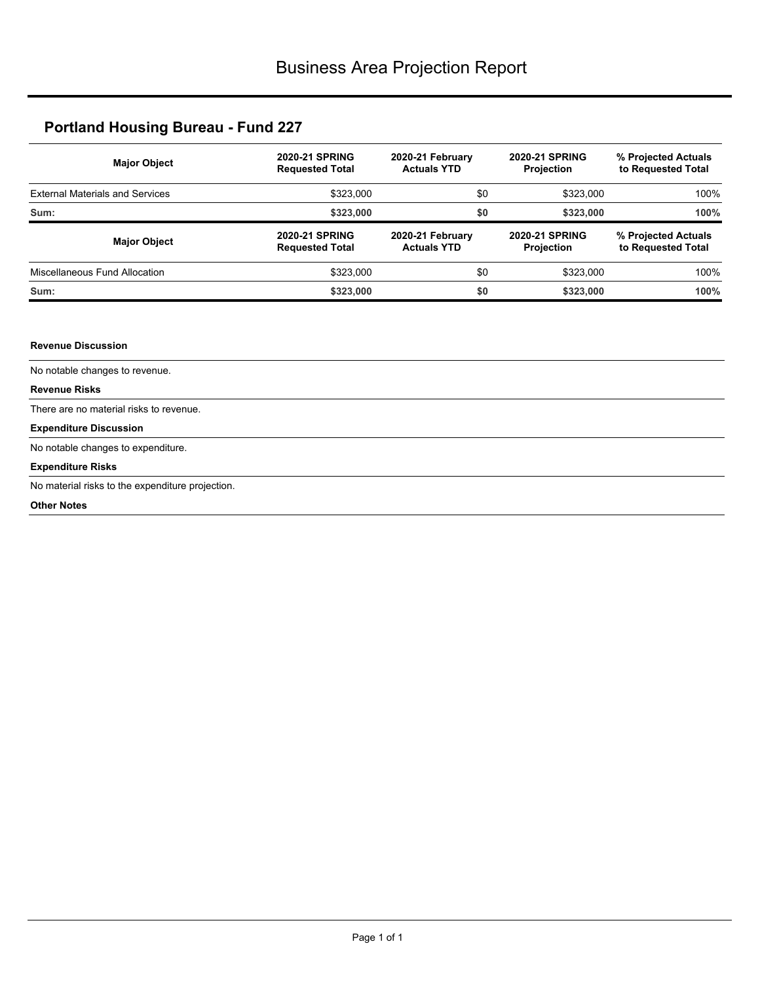| <b>Major Object</b>                    | <b>2020-21 SPRING</b><br><b>Requested Total</b> | 2020-21 February<br><b>Actuals YTD</b> | <b>2020-21 SPRING</b><br><b>Projection</b> | % Projected Actuals<br>to Requested Total |
|----------------------------------------|-------------------------------------------------|----------------------------------------|--------------------------------------------|-------------------------------------------|
| <b>External Materials and Services</b> | \$323,000                                       | \$0                                    | \$323,000                                  | 100%                                      |
| Sum:                                   | \$323,000                                       | \$0                                    | \$323,000                                  | 100%                                      |
| <b>Major Object</b>                    | <b>2020-21 SPRING</b><br><b>Requested Total</b> | 2020-21 February<br><b>Actuals YTD</b> | <b>2020-21 SPRING</b><br><b>Projection</b> | % Projected Actuals<br>to Requested Total |
| Miscellaneous Fund Allocation          | \$323,000                                       | \$0                                    | \$323,000                                  | 100%                                      |
| Sum:                                   | \$323,000                                       | \$0                                    | \$323,000                                  | 100%                                      |

#### **Revenue Discussion**

No notable changes to revenue.

#### **Revenue Risks**

There are no material risks to revenue.

#### **Expenditure Discussion**

No notable changes to expenditure.

#### **Expenditure Risks**

No material risks to the expenditure projection.